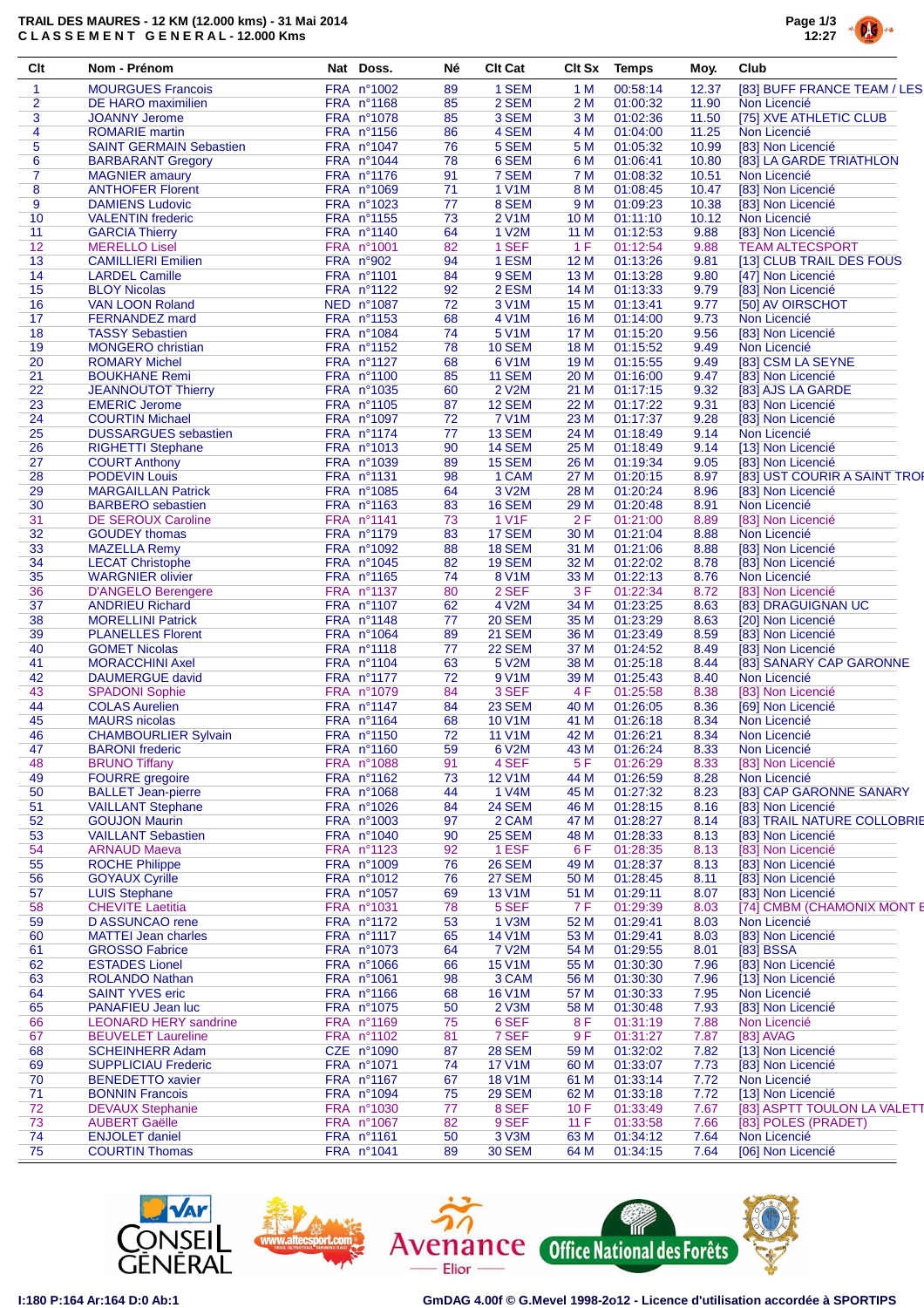## **TRAIL DES MAURES - 12 KM (12.000 kms) - 31 Mai 2014 C L A S S E M E N T G E N E R A L - 12.000 Kms**



| Clt            | Nom - Prénom                   | Nat Doss.  | Né | <b>Clt Cat</b>      | <b>Clt Sx</b> | <b>Temps</b> | Moy.  | Club                         |
|----------------|--------------------------------|------------|----|---------------------|---------------|--------------|-------|------------------------------|
| 1              | <b>MOURGUES Francois</b>       | FRA n°1002 | 89 | 1 SEM               | 1 M           | 00:58:14     | 12.37 | [83] BUFF FRANCE TEAM / LES  |
| $\overline{2}$ | DE HARO maximilien             | FRA nº1168 | 85 | 2 SEM               | 2 M           | 01:00:32     | 11.90 | Non Licencié                 |
| 3              | <b>JOANNY Jerome</b>           | FRA n°1078 | 85 | 3 SEM               | 3 M           | 01:02:36     | 11.50 | [75] XVE ATHLETIC CLUB       |
| 4              | <b>ROMARIE</b> martin          | FRA n°1156 | 86 | 4 SEM               | 4 M           | 01:04:00     | 11.25 | Non Licencié                 |
| 5              | <b>SAINT GERMAIN Sebastien</b> | FRA nº1047 | 76 | 5 SEM               | 5 M           | 01:05:32     | 10.99 | [83] Non Licencié            |
| 6              | <b>BARBARANT Gregory</b>       | FRA nº1044 | 78 | 6 SEM               | 6 M           | 01:06:41     | 10.80 | [83] LA GARDE TRIATHLON      |
| $\overline{7}$ | <b>MAGNIER</b> amaury          | FRA nº1176 | 91 | 7 SEM               | 7 M           | 01:08:32     | 10.51 | Non Licencié                 |
| 8              | <b>ANTHOFER Florent</b>        | FRA nº1069 | 71 | 1 V1M               | 8 M           | 01:08:45     | 10.47 | [83] Non Licencié            |
| 9              | <b>DAMIENS Ludovic</b>         | FRA nº1023 | 77 | 8 SEM               | 9 M           | 01:09:23     | 10.38 | [83] Non Licencié            |
| 10             | <b>VALENTIN</b> frederic       | FRA nº1155 | 73 | 2 V1M               | 10 M          | 01:11:10     | 10.12 | Non Licencié                 |
| 11             | <b>GARCIA Thierry</b>          | FRA n°1140 | 64 | 1 V2M               | 11 M          | 01:12:53     | 9.88  | [83] Non Licencié            |
| 12             | <b>MERELLO Lisel</b>           | FRA n°1001 | 82 | 1 SEF               | 1F            | 01:12:54     | 9.88  | <b>TEAM ALTECSPORT</b>       |
| 13             | <b>CAMILLIERI Emilien</b>      | FRA n°902  | 94 | 1 ESM               | 12 M          | 01:13:26     | 9.81  | [13] CLUB TRAIL DES FOUS     |
| 14             | <b>LARDEL Camille</b>          | FRA n°1101 | 84 | 9 SEM               | 13 M          | 01:13:28     | 9.80  | [47] Non Licencié            |
| 15             | <b>BLOY Nicolas</b>            | FRA n°1122 | 92 | 2 ESM               | 14 M          | 01:13:33     | 9.79  | [83] Non Licencié            |
| 16             | <b>VAN LOON Roland</b>         | NED n°1087 | 72 | 3 V1M               | 15 M          | 01:13:41     | 9.77  | [50] AV OIRSCHOT             |
| 17             | <b>FERNANDEZ</b> mard          | FRA nº1153 | 68 | 4 V1M               | 16 M          | 01:14:00     | 9.73  | Non Licencié                 |
| 18             | <b>TASSY Sebastien</b>         | FRA nº1084 | 74 | 5 V1M               | 17 M          | 01:15:20     | 9.56  | [83] Non Licencié            |
| 19             | <b>MONGERO</b> christian       | FRA n°1152 | 78 | <b>10 SEM</b>       | 18 M          | 01:15:52     | 9.49  | Non Licencié                 |
| 20             |                                | FRA n°1127 | 68 | 6 V1M               |               | 01:15:55     | 9.49  | [83] CSM LA SEYNE            |
|                | <b>ROMARY Michel</b>           |            |    |                     | 19 M          |              |       |                              |
| 21             | <b>BOUKHANE Remi</b>           | FRA n°1100 | 85 | <b>11 SEM</b>       | 20 M          | 01:16:00     | 9.47  | [83] Non Licencié            |
| 22             | <b>JEANNOUTOT Thierry</b>      | FRA nº1035 | 60 | 2 V2M               | 21 M          | 01:17:15     | 9.32  | [83] AJS LA GARDE            |
| 23             | <b>EMERIC Jerome</b>           | FRA nº1105 | 87 | <b>12 SEM</b>       | 22 M          | 01:17:22     | 9.31  | [83] Non Licencié            |
| 24             | <b>COURTIN Michael</b>         | FRA n°1097 | 72 | 7 V1M               | 23 M          | 01:17:37     | 9.28  | [83] Non Licencié            |
| 25             | <b>DUSSARGUES</b> sebastien    | FRA nº1174 | 77 | 13 SEM              | 24 M          | 01:18:49     | 9.14  | Non Licencié                 |
| 26             | <b>RIGHETTI Stephane</b>       | FRA nº1013 | 90 | <b>14 SEM</b>       | 25 M          | 01:18:49     | 9.14  | [13] Non Licencié            |
| 27             | <b>COURT Anthony</b>           | FRA n°1039 | 89 | <b>15 SEM</b>       | 26 M          | 01:19:34     | 9.05  | [83] Non Licencié            |
| 28             | <b>PODEVIN Louis</b>           | FRA nº1131 | 98 | 1 CAM               | 27 M          | 01:20:15     | 8.97  | [83] UST COURIR A SAINT TROP |
| 29             | <b>MARGAILLAN Patrick</b>      | FRA n°1085 | 64 | 3 V2M               | 28 M          | 01:20:24     | 8.96  | [83] Non Licencié            |
| 30             | <b>BARBERO</b> sebastien       | FRA nº1163 | 83 | <b>16 SEM</b>       | 29 M          | 01:20:48     | 8.91  | Non Licencié                 |
| 31             | DE SEROUX Caroline             | FRA nº1141 | 73 | <b>1 V1F</b>        | 2F            | 01:21:00     | 8.89  | [83] Non Licencié            |
| 32             | <b>GOUDEY</b> thomas           | FRA n°1179 | 83 | 17 SEM              | 30 M          | 01:21:04     | 8.88  | Non Licencié                 |
| 33             | <b>MAZELLA Remy</b>            | FRA nº1092 | 88 | <b>18 SEM</b>       | 31 M          | 01:21:06     | 8.88  | [83] Non Licencié            |
| 34             | <b>LECAT Christophe</b>        | FRA nº1045 | 82 | <b>19 SEM</b>       | 32 M          | 01:22:02     | 8.78  | [83] Non Licencié            |
| 35             | <b>WARGNIER olivier</b>        | FRA nº1165 | 74 | 8 V1M               | 33 M          | 01:22:13     | 8.76  | Non Licencié                 |
| 36             | D'ANGELO Berengere             | FRA n°1137 | 80 | 2 SEF               | 3 F           | 01:22:34     | 8.72  | [83] Non Licencié            |
| 37             | <b>ANDRIEU Richard</b>         | FRA n°1107 | 62 | 4 V2M               | 34 M          | 01:23:25     | 8.63  | [83] DRAGUIGNAN UC           |
| 38             | <b>MORELLINI Patrick</b>       | FRA nº1148 | 77 | <b>20 SEM</b>       | 35 M          | 01:23:29     | 8.63  | [20] Non Licencié            |
| 39             | <b>PLANELLES Florent</b>       | FRA nº1064 | 89 | <b>21 SEM</b>       | 36 M          | 01:23:49     | 8.59  | [83] Non Licencié            |
| 40             | <b>GOMET Nicolas</b>           | FRA n°1118 | 77 | <b>22 SEM</b>       | 37 M          | 01:24:52     | 8.49  | [83] Non Licencié            |
| 41             | <b>MORACCHINI Axel</b>         | FRA n°1104 | 63 | 5 V2M               | 38 M          | 01:25:18     | 8.44  | [83] SANARY CAP GARONNE      |
| 42             | DAUMERGUE david                | FRA n°1177 | 72 | 9 V1M               | 39 M          | 01:25:43     | 8.40  | Non Licencié                 |
| 43             | <b>SPADONI Sophie</b>          | FRA n°1079 | 84 | 3 SEF               | 4 F           | 01:25:58     | 8.38  | [83] Non Licencié            |
| 44             | <b>COLAS Aurelien</b>          | FRA n°1147 | 84 | <b>23 SEM</b>       | 40 M          | 01:26:05     | 8.36  | [69] Non Licencié            |
| 45             | <b>MAURS</b> nicolas           | FRA nº1164 | 68 | 10 V1M              | 41 M          | 01:26:18     | 8.34  | Non Licencié                 |
| 46             | <b>CHAMBOURLIER Sylvain</b>    | FRA n°1150 | 72 | <b>11 V1M</b>       | 42 M          | 01:26:21     | 8.34  | Non Licencié                 |
| 47             | <b>BARONI</b> frederic         | FRA nº1160 | 59 | 6 V2M               | 43 M          | 01:26:24     | 8.33  | Non Licencié                 |
| 48             | <b>BRUNO Tiffany</b>           | FRA n°1088 | 91 | 4 SEF               | 5 F           | 01:26:29     | 8.33  | [83] Non Licencié            |
| 49             | <b>FOURRE</b> gregoire         | FRA nº1162 | 73 | <b>12 V1M</b>       | 44 M          | 01:26:59     | 8.28  | Non Licencié                 |
| 50             | <b>BALLET Jean-pierre</b>      | FRA nº1068 | 44 | 1 V4M               | 45 M          | 01:27:32     | 8.23  | [83] CAP GARONNE SANARY      |
| 51             | <b>VAILLANT Stephane</b>       | FRA nº1026 | 84 | <b>24 SEM</b>       | 46 M          | 01:28:15     | 8.16  | [83] Non Licencié            |
| 52             | <b>GOUJON Maurin</b>           | FRA n°1003 | 97 | 2 CAM               | 47 M          | 01:28:27     | 8.14  | [83] TRAIL NATURE COLLOBRIE  |
| 53             | <b>VAILLANT Sebastien</b>      | FRA nº1040 | 90 | <b>25 SEM</b>       | 48 M          | 01:28:33     | 8.13  | [83] Non Licencié            |
| 54             | <b>ARNAUD Maeva</b>            | FRA n°1123 | 92 | 1 ESF               | 6 F           | 01:28:35     | 8.13  | [83] Non Licencié            |
| 55             | <b>ROCHE Philippe</b>          | FRA n°1009 | 76 | <b>26 SEM</b>       | 49 M          | 01:28:37     | 8.13  | [83] Non Licencié            |
| 56             | <b>GOYAUX Cyrille</b>          | FRA nº1012 | 76 | <b>27 SEM</b>       | 50 M          | 01:28:45     | 8.11  | [83] Non Licencié            |
| 57             | <b>LUIS Stephane</b>           | FRA nº1057 | 69 | 13 V <sub>1</sub> M | 51 M          | 01:29:11     | 8.07  | [83] Non Licencié            |
|                | <b>CHEVITE Laetitia</b>        | FRA n°1031 | 78 | 5 SEF               | 7 F           | 01:29:39     | 8.03  | [74] CMBM (CHAMONIX MONT E   |
| 58             | D ASSUNCAO rene                |            |    |                     |               |              |       | Non Licencié                 |
| 59             |                                | FRA nº1172 | 53 | 1 V3M               | 52 M          | 01:29:41     | 8.03  |                              |
| 60             | <b>MATTEI Jean charles</b>     | FRA n°1117 | 65 | 14 V1M              | 53 M          | 01:29:41     | 8.03  | [83] Non Licencié            |
| 61             | <b>GROSSO Fabrice</b>          | FRA nº1073 | 64 | 7 V2M               | 54 M          | 01:29:55     | 8.01  | [83] BSSA                    |
| 62             | <b>ESTADES Lionel</b>          | FRA nº1066 | 66 | <b>15 V1M</b>       | 55 M          | 01:30:30     | 7.96  | [83] Non Licencié            |
| 63             | <b>ROLANDO Nathan</b>          | FRA n°1061 | 98 | 3 CAM               | 56 M          | 01:30:30     | 7.96  | [13] Non Licencié            |
| 64             | <b>SAINT YVES eric</b>         | FRA nº1166 | 68 | <b>16 V1M</b>       | 57 M          | 01:30:33     | 7.95  | Non Licencié                 |
| 65             | PANAFIEU Jean luc              | FRA nº1075 | 50 | 2 V3M               | 58 M          | 01:30:48     | 7.93  | [83] Non Licencié            |
| 66             | <b>LEONARD HERY sandrine</b>   | FRA n°1169 | 75 | 6 SEF               | 8F            | 01:31:19     | 7.88  | Non Licencié                 |
| 67             | <b>BEUVELET Laureline</b>      | FRA n°1102 | 81 | 7 SEF               | 9 F           | 01:31:27     | 7.87  | [83] AVAG                    |
| 68             | <b>SCHEINHERR Adam</b>         | CZE nº1090 | 87 | <b>28 SEM</b>       | 59 M          | 01:32:02     | 7.82  | [13] Non Licencié            |
| 69             | <b>SUPPLICIAU Frederic</b>     | FRA n°1071 | 74 | 17 V1M              | 60 M          | 01:33:07     | 7.73  | [83] Non Licencié            |
| 70             | <b>BENEDETTO xavier</b>        | FRA nº1167 | 67 | 18 V1M              | 61 M          | 01:33:14     | 7.72  | Non Licencié                 |
| 71             | <b>BONNIN Francois</b>         | FRA nº1094 | 75 | <b>29 SEM</b>       | 62 M          | 01:33:18     | 7.72  | [13] Non Licencié            |
| 72             | <b>DEVAUX Stephanie</b>        | FRA nº1030 | 77 | 8 SEF               | 10F           | 01:33:49     | 7.67  | [83] ASPTT TOULON LA VALETT  |
| 73             | <b>AUBERT Gaëlle</b>           | FRA n°1067 | 82 | 9 SEF               | 11 F          | 01:33:58     | 7.66  | [83] POLES (PRADET)          |
| 74             | <b>ENJOLET</b> daniel          | FRA nº1161 | 50 | 3 V3M               | 63 M          | 01:34:12     | 7.64  | Non Licencié                 |
| 75             | <b>COURTIN Thomas</b>          | FRA nº1041 | 89 | <b>30 SEM</b>       | 64 M          | 01:34:15     | 7.64  | [06] Non Licencié            |







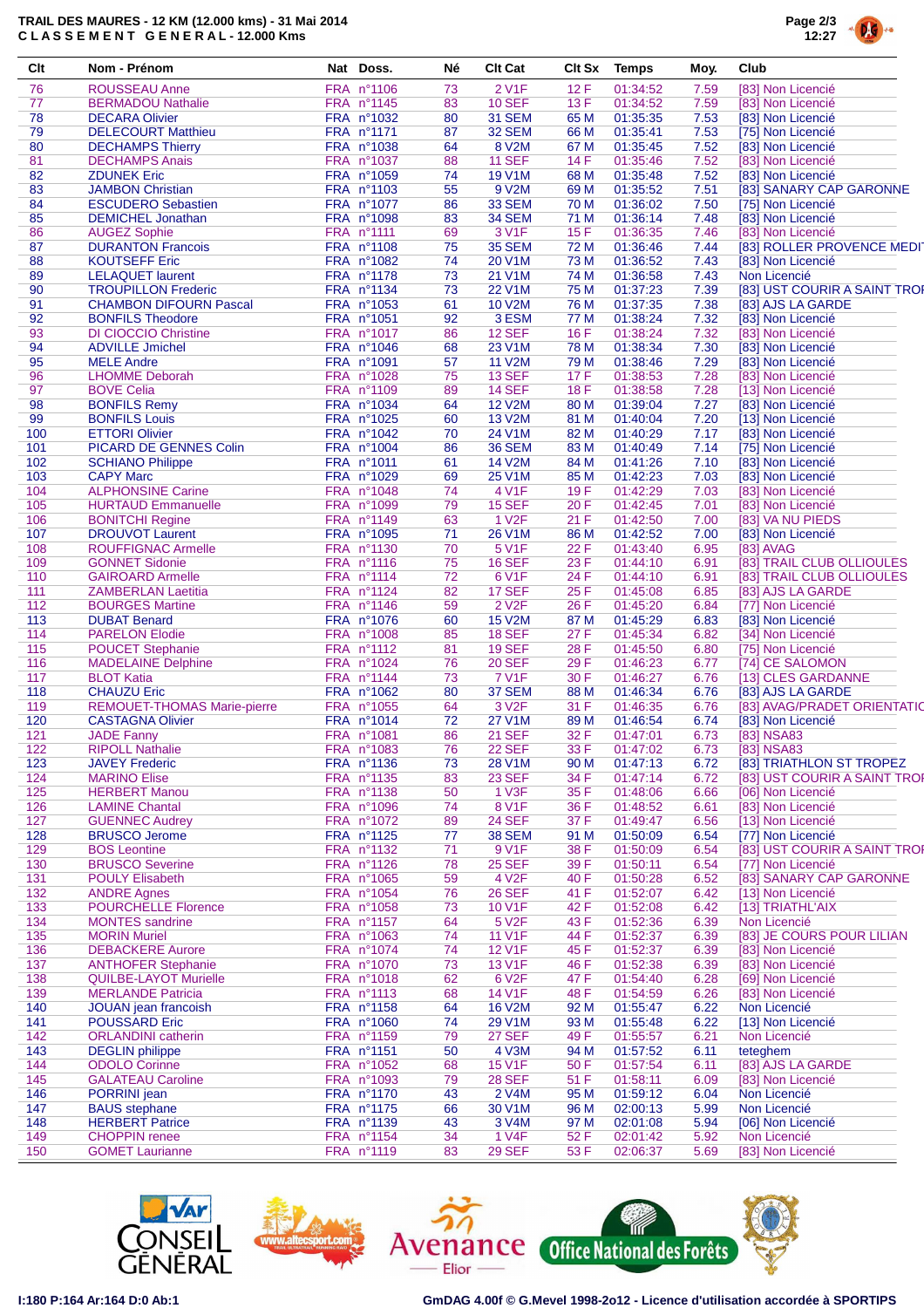## **TRAIL DES MAURES - 12 KM (12.000 kms) - 31 Mai 2014 C L A S S E M E N T G E N E R A L - 12.000 Kms**



| Clt | Nom - Prénom                               | Nat Doss.                | Né       | <b>Clt Cat</b>                 | <b>Clt Sx</b> | Temps    | Moy. | Club                         |
|-----|--------------------------------------------|--------------------------|----------|--------------------------------|---------------|----------|------|------------------------------|
| 76  | <b>ROUSSEAU Anne</b>                       | FRA n°1106               | 73       | 2 V1F                          | 12F           | 01:34:52 | 7.59 | [83] Non Licencié            |
| 77  | <b>BERMADOU Nathalie</b>                   | FRA nº1145               | 83       | <b>10 SEF</b>                  | 13F           | 01:34:52 | 7.59 | [83] Non Licencié            |
| 78  | <b>DECARA Olivier</b>                      | FRA nº1032               | 80       | <b>31 SEM</b>                  | 65 M          | 01:35:35 | 7.53 | [83] Non Licencié            |
| 79  | <b>DELECOURT Matthieu</b>                  | FRA nº1171               | 87       | 32 SEM                         | 66 M          | 01:35:41 | 7.53 | [75] Non Licencié            |
| 80  | <b>DECHAMPS Thierry</b>                    | FRA nº1038               | 64       | 8 V2M                          | 67 M          | 01:35:45 | 7.52 | [83] Non Licencié            |
| 81  | <b>DECHAMPS Anais</b>                      | FRA nº1037               | 88       | <b>11 SEF</b>                  | 14F           | 01:35:46 | 7.52 | [83] Non Licencié            |
| 82  | <b>ZDUNEK Eric</b>                         | FRA nº1059               | 74       | 19 V1M                         | 68 M          | 01:35:48 | 7.52 | [83] Non Licencié            |
| 83  | <b>JAMBON Christian</b>                    | FRA nº1103               | 55       | 9 V2M                          | 69 M          | 01:35:52 | 7.51 | [83] SANARY CAP GARONNE      |
| 84  | <b>ESCUDERO Sebastien</b>                  | FRA nº1077               | 86       | <b>33 SEM</b>                  | 70 M          | 01:36:02 | 7.50 | [75] Non Licencié            |
| 85  | <b>DEMICHEL Jonathan</b>                   | FRA n°1098               | 83       | 34 SEM                         | 71 M          | 01:36:14 | 7.48 | [83] Non Licencié            |
| 86  | <b>AUGEZ Sophie</b>                        | FRA nº1111               | 69       | 3 V1F                          | 15F           | 01:36:35 | 7.46 | [83] Non Licencié            |
| 87  | <b>DURANTON Francois</b>                   | FRA n°1108               | 75       | <b>35 SEM</b>                  | 72 M          | 01:36:46 | 7.44 | [83] ROLLER PROVENCE MEDIT   |
| 88  | <b>KOUTSEFF Eric</b>                       | FRA n°1082               | 74       | 20 V1M                         | 73 M          | 01:36:52 | 7.43 | [83] Non Licencié            |
| 89  | <b>LELAQUET laurent</b>                    | FRA nº1178               | 73       | 21 V1M                         | 74 M          | 01:36:58 | 7.43 | Non Licencié                 |
| 90  | <b>TROUPILLON Frederic</b>                 | FRA nº1134               | 73       | 22 V1M                         | 75 M          | 01:37:23 | 7.39 | [83] UST COURIR A SAINT TROP |
| 91  | <b>CHAMBON DIFOURN Pascal</b>              | FRA nº1053               | 61       | <b>10 V2M</b>                  | 76 M          | 01:37:35 | 7.38 | [83] AJS LA GARDE            |
| 92  | <b>BONFILS Theodore</b>                    | FRA nº1051               | 92       | 3 ESM                          | 77 M          | 01:38:24 | 7.32 | [83] Non Licencié            |
| 93  | <b>DI CIOCCIO Christine</b>                | FRA nº1017               | 86       | <b>12 SEF</b>                  | 16F           | 01:38:24 | 7.32 | [83] Non Licencié            |
| 94  | <b>ADVILLE Jmichel</b>                     | FRA nº1046               | 68       | 23 V1M                         | 78 M          | 01:38:34 | 7.30 | [83] Non Licencié            |
| 95  | <b>MELE Andre</b>                          | FRA n°1091               | 57       | <b>11 V2M</b>                  | 79 M          | 01:38:46 | 7.29 | [83] Non Licencié            |
| 96  |                                            |                          |          |                                | 17F           | 01:38:53 |      | [83] Non Licencié            |
| 97  | <b>LHOMME Deborah</b><br><b>BOVE Celia</b> | FRA n°1028<br>FRA n°1109 | 75<br>89 | <b>13 SEF</b><br><b>14 SEF</b> | 18F           | 01:38:58 | 7.28 |                              |
|     |                                            |                          |          |                                |               |          | 7.28 | [13] Non Licencié            |
| 98  | <b>BONFILS Remy</b>                        | FRA nº1034               | 64       | <b>12 V2M</b>                  | 80 M          | 01:39:04 | 7.27 | [83] Non Licencié            |
| 99  | <b>BONFILS Louis</b>                       | FRA nº1025               | 60       | <b>13 V2M</b>                  | 81 M          | 01:40:04 | 7.20 | [13] Non Licencié            |
| 100 | <b>ETTORI Olivier</b>                      | FRA nº1042               | 70       | 24 V1M                         | 82 M          | 01:40:29 | 7.17 | [83] Non Licencié            |
| 101 | PICARD DE GENNES Colin                     | FRA nº1004               | 86       | <b>36 SEM</b>                  | 83 M          | 01:40:49 | 7.14 | [75] Non Licencié            |
| 102 | <b>SCHIANO Philippe</b>                    | FRA n°1011               | 61       | 14 V2M                         | 84 M          | 01:41:26 | 7.10 | [83] Non Licencié            |
| 103 | <b>CAPY Marc</b>                           | FRA nº1029               | 69       | 25 V1M                         | 85 M          | 01:42:23 | 7.03 | [83] Non Licencié            |
| 104 | <b>ALPHONSINE Carine</b>                   | FRA n°1048               | 74       | 4 V1F                          | 19F           | 01:42:29 | 7.03 | [83] Non Licencié            |
| 105 | <b>HURTAUD Emmanuelle</b>                  | FRA n°1099               | 79       | <b>15 SEF</b>                  | 20 F          | 01:42:45 | 7.01 | [83] Non Licencié            |
| 106 | <b>BONITCHI Regine</b>                     | FRA n°1149               | 63       | 1 V <sub>2</sub> F             | 21 F          | 01:42:50 | 7.00 | [83] VA NU PIEDS             |
| 107 | <b>DROUVOT Laurent</b>                     | FRA n°1095               | 71       | 26 V1M                         | 86 M          | 01:42:52 | 7.00 | [83] Non Licencié            |
| 108 | <b>ROUFFIGNAC Armelle</b>                  | FRA nº1130               | 70       | 5 V <sub>1</sub> F             | 22 F          | 01:43:40 | 6.95 | [83] AVAG                    |
| 109 | <b>GONNET Sidonie</b>                      | FRA n°1116               | 75       | <b>16 SEF</b>                  | 23 F          | 01:44:10 | 6.91 | [83] TRAIL CLUB OLLIOULES    |
| 110 | <b>GAIROARD Armelle</b>                    | FRA nº1114               | 72       | 6 V1F                          | 24 F          | 01:44:10 | 6.91 | [83] TRAIL CLUB OLLIOULES    |
| 111 | <b>ZAMBERLAN Laetitia</b>                  | FRA nº1124               | 82       | 17 SEF                         | 25F           | 01:45:08 | 6.85 | [83] AJS LA GARDE            |
| 112 | <b>BOURGES Martine</b>                     | FRA nº1146               | 59       | 2 V <sub>2</sub> F             | 26 F          | 01:45:20 | 6.84 | [77] Non Licencié            |
| 113 | <b>DUBAT Benard</b>                        | FRA nº1076               | 60       | 15 V2M                         | 87 M          | 01:45:29 | 6.83 | [83] Non Licencié            |
| 114 | <b>PARELON Elodie</b>                      | FRA n°1008               | 85       | <b>18 SEF</b>                  | 27 F          | 01:45:34 | 6.82 | [34] Non Licencié            |
| 115 | <b>POUCET Stephanie</b>                    | FRA n°1112               | 81       | <b>19 SEF</b>                  | 28 F          | 01:45:50 | 6.80 | [75] Non Licencié            |
| 116 | <b>MADELAINE Delphine</b>                  | FRA nº1024               | 76       | <b>20 SEF</b>                  | 29 F          | 01:46:23 | 6.77 | [74] CE SALOMON              |
| 117 | <b>BLOT Katia</b>                          | FRA n°1144               | 73       | 7 V1F                          | 30 F          | 01:46:27 | 6.76 | [13] CLES GARDANNE           |
| 118 | <b>CHAUZU Eric</b>                         | FRA nº1062               | 80       | 37 SEM                         | 88 M          | 01:46:34 | 6.76 | [83] AJS LA GARDE            |
| 119 | <b>REMOUET-THOMAS Marie-pierre</b>         | FRA nº1055               | 64       | 3 V <sub>2</sub> F             | 31 F          | 01:46:35 | 6.76 | [83] AVAG/PRADET ORIENTATIO  |
| 120 | <b>CASTAGNA Olivier</b>                    | FRA n°1014               | 72       | 27 V1M                         | 89 M          | 01:46:54 | 6.74 | [83] Non Licencié            |
| 121 | <b>JADE Fanny</b>                          | FRA n°1081               | 86       | <b>21 SEF</b>                  | 32 F          | 01:47:01 | 6.73 | [83] NSA83                   |
| 122 | <b>RIPOLL Nathalie</b>                     | FRA n°1083               | 76       | <b>22 SEF</b>                  | 33 F          | 01:47:02 | 6.73 | [83] NSA83                   |
| 123 | <b>JAVEY Frederic</b>                      | FRA nº1136               | 73       | <b>28 V1M</b>                  | 90 M          | 01:47:13 | 6.72 | [83] TRIATHLON ST TROPEZ     |
| 124 | <b>MARINO Elise</b>                        | FRA nº1135               | 83       | 23 SEF                         | 34 F          | 01:47:14 | 6.72 | [83] UST COURIR A SAINT TROI |
| 125 | <b>HERBERT Manou</b>                       | FRA n°1138               | 50       | 1 V3F                          | 35 F          | 01:48:06 | 6.66 | [06] Non Licencié            |
| 126 | <b>LAMINE Chantal</b>                      | FRA nº1096               | 74       | 8 V1F                          | 36 F          | 01:48:52 | 6.61 | [83] Non Licencié            |
| 127 | <b>GUENNEC Audrey</b>                      | FRA nº1072               | 89       | <b>24 SEF</b>                  | 37 F          | 01:49:47 | 6.56 | [13] Non Licencié            |
| 128 | <b>BRUSCO Jerome</b>                       | FRA nº1125               | 77       | <b>38 SEM</b>                  | 91 M          | 01:50:09 | 6.54 | [77] Non Licencié            |
| 129 | <b>BOS Leontine</b>                        | FRA nº1132               | 71       | 9 V1F                          | 38 F          | 01:50:09 | 6.54 | [83] UST COURIR A SAINT TROP |
| 130 | <b>BRUSCO Severine</b>                     | FRA nº1126               | 78       | <b>25 SEF</b>                  | 39 F          | 01:50:11 | 6.54 | [77] Non Licencié            |
| 131 | <b>POULY Elisabeth</b>                     | FRA nº1065               | 59       | 4 V <sub>2</sub> F             | 40 F          | 01:50:28 | 6.52 | [83] SANARY CAP GARONNE      |
| 132 | <b>ANDRE Agnes</b>                         | FRA nº1054               | 76       | <b>26 SEF</b>                  | 41 F          | 01:52:07 | 6.42 | [13] Non Licencié            |
| 133 | <b>POURCHELLE Florence</b>                 | FRA nº1058               | 73       | 10 V1F                         | 42 F          | 01:52:08 | 6.42 | [13] TRIATHL'AIX             |
| 134 | <b>MONTES</b> sandrine                     | FRA nº1157               | 64       | 5 V <sub>2</sub> F             | 43 F          | 01:52:36 | 6.39 | Non Licencié                 |
| 135 | <b>MORIN Muriel</b>                        | FRA nº1063               | 74       | 11 V1F                         | 44 F          | 01:52:37 | 6.39 | [83] JE COURS POUR LILIAN    |
| 136 | <b>DEBACKERE Aurore</b>                    | FRA nº1074               | 74       | <b>12 V1F</b>                  | 45 F          | 01:52:37 | 6.39 | [83] Non Licencié            |
| 137 | <b>ANTHOFER Stephanie</b>                  | FRA n°1070               | 73       | 13 V1F                         | 46 F          | 01:52:38 | 6.39 | [83] Non Licencié            |
| 138 | <b>QUILBE-LAYOT Murielle</b>               | FRA nº1018               | 62       | 6 V <sub>2</sub> F             | 47 F          | 01:54:40 | 6.28 | [69] Non Licencié            |
| 139 | <b>MERLANDE Patricia</b>                   | FRA n°1113               | 68       | 14 V1F                         | 48 F          | 01:54:59 | 6.26 | [83] Non Licencié            |
| 140 | JOUAN jean francoish                       | FRA nº1158               | 64       | <b>16 V2M</b>                  | 92 M          | 01:55:47 | 6.22 | Non Licencié                 |
| 141 | <b>POUSSARD Eric</b>                       | FRA nº1060               | 74       | 29 V1M                         | 93 M          | 01:55:48 | 6.22 | [13] Non Licencié            |
| 142 | <b>ORLANDINI</b> catherin                  | FRA nº1159               | 79       | <b>27 SEF</b>                  | 49 F          | 01:55:57 | 6.21 | Non Licencié                 |
| 143 | <b>DEGLIN</b> philippe                     | FRA n°1151               | 50       | 4 V3M                          | 94 M          | 01:57:52 | 6.11 | teteghem                     |
| 144 | <b>ODOLO Corinne</b>                       | FRA n°1052               | 68       | <b>15 V1F</b>                  | 50 F          | 01:57:54 | 6.11 | [83] AJS LA GARDE            |
| 145 | <b>GALATEAU Caroline</b>                   | FRA nº1093               | 79       | <b>28 SEF</b>                  | 51 F          | 01:58:11 | 6.09 | [83] Non Licencié            |
| 146 | PORRINI jean                               | FRA nº1170               | 43       | 2 V4M                          | 95 M          | 01:59:12 | 6.04 | Non Licencié                 |
| 147 | <b>BAUS</b> stephane                       | FRA nº1175               | 66       | 30 V1M                         | 96 M          | 02:00:13 | 5.99 | Non Licencié                 |
| 148 | <b>HERBERT Patrice</b>                     | FRA nº1139               | 43       | 3 V4M                          | 97 M          | 02:01:08 | 5.94 | [06] Non Licencié            |
| 149 | <b>CHOPPIN</b> renee                       | FRA nº1154               | 34       | 1 V4F                          | 52 F          | 02:01:42 | 5.92 | Non Licencié                 |
| 150 | <b>GOMET Laurianne</b>                     | FRA nº1119               | 83       | <b>29 SEF</b>                  | 53 F          | 02:06:37 | 5.69 | [83] Non Licencié            |
|     |                                            |                          |          |                                |               |          |      |                              |